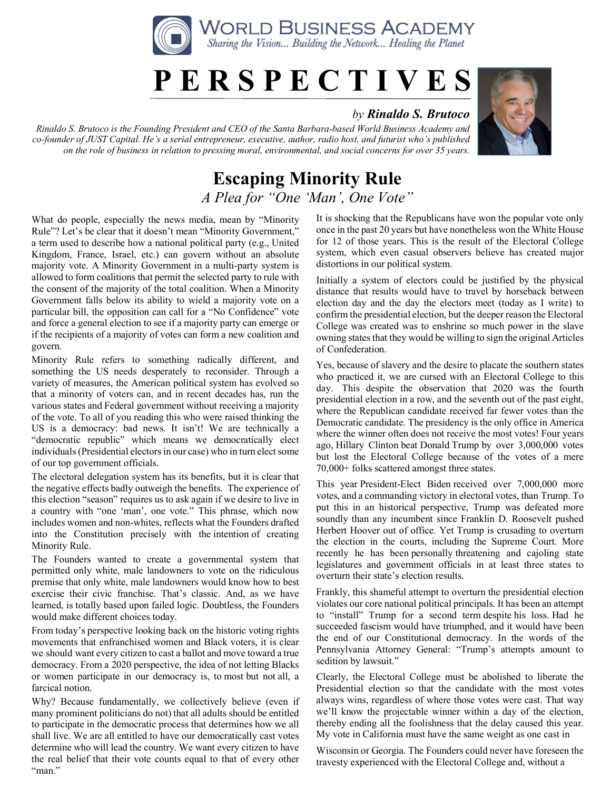

## **P E R S P E C T I V E S**

## *by Rinaldo S. Brutoco*

*Rinaldo S. Brutoco is the Founding President and CEO of the Santa Barbara-based World Business Academy and co-founder of JUST Capital. He's a serial entrepreneur, executive, author, radio host, and futurist who's published on the role of business in relation to pressing moral, environmental, and social concerns for over 35 years.*



## **Escaping Minority Rule** *A Plea for "One 'Man', One Vote"*

What do people, especially the news media, mean by "Minority Rule"? Let's be clear that it doesn't mean "Minority Government," a term used to describe how a national political party (e.g., United Kingdom, France, Israel, etc.) can govern without an absolute majority vote. A Minority Government in a multi-party system is allowed to form coalitions that permit the selected party to rule with the consent of the majority of the total coalition. When a Minority Government falls below its ability to wield a majority vote on a particular bill, the opposition can call for a "No Confidence" vote and force a general election to see if a majority party can emerge or if the recipients of a majority of votes can form a new coalition and govern.

Minority Rule refers to something radically different, and something the US needs desperately to reconsider. Through a variety of measures, the American political system has evolved so that a minority of voters can, and in recent decades has, run the various states and Federal government without receiving a majority of the vote. To all of you reading this who were raised thinking the US is a democracy: bad news. It isn't! We are technically a "democratic republic" which means we democratically elect individuals (Presidential electors in our case) who in turn elect some of our top government officials.

The electoral delegation system has its benefits, but it is clear that the negative effects badly outweigh the benefits. The experience of this election "season" requires us to ask again if we desire to live in a country with "one 'man', one vote." This phrase, which now includes women and non-whites, reflects what the Founders drafted into the Constitution precisely with the intention of creating Minority Rule.

The Founders wanted to create a governmental system that permitted only white, male landowners to vote on the ridiculous premise that only white, male landowners would know how to best exercise their civic franchise. That's classic. And, as we have learned, is totally based upon failed logic. Doubtless, the Founders would make different choices today.

From today's perspective looking back on the historic voting rights movements that enfranchised women and Black voters, it is clear we should want every citizen to cast a ballot and move toward a true democracy. From a 2020 perspective, the idea of not letting Blacks or women participate in our democracy is, to most but not all, a farcical notion.

Why? Because fundamentally, we collectively believe (even if many prominent politicians do not) that all adults should be entitled to participate in the democratic process that determines how we all shall live. We are all entitled to have our democratically cast votes determine who will lead the country. We want every citizen to have the real belief that their vote counts equal to that of every other "man."

It is shocking that the Republicans have won the popular vote only once in the past 20 years but have nonetheless won the White House for 12 of those years. This is the result of the Electoral College system, which even casual observers believe has created major distortions in our political system.

Initially a system of electors could be justified by the physical distance that results would have to travel by horseback between election day and the day the electors meet (today as I write) to confirm the presidential election, but the deeper reason the Electoral College was created was to enshrine so much power in the slave owning states that they would be willing to sign the original Articles of Confederation.

Yes, because of slavery and the desire to placate the southern states who practiced it, we are cursed with an Electoral College to this day. This despite the observation that 2020 was the fourth presidential election in a row, and the seventh out of the past eight, where the Republican candidate received far fewer votes than the Democratic candidate. The presidency is the only office in America where the winner often does not receive the most votes! Four years ago, Hillary Clinton beat Donald Trump by over 3,000,000 votes but lost the Electoral College because of the votes of a mere 70,000+ folks scattered amongst three states.

This year President-Elect Biden received over 7,000,000 more votes, and a commanding victory in electoral votes, than Trump. To put this in an historical perspective, Trump was defeated more soundly than any incumbent since Franklin D. Roosevelt pushed Herbert Hoover out of office. Yet Trump is crusading to overturn the election in the courts, including the Supreme Court. More recently he has been personally threatening and cajoling state legislatures and government officials in at least three states to overturn their state's election results.

Frankly, this shameful attempt to overturn the presidential election violates our core national political principals. It has been an attempt to "install" Trump for a second term despite his loss. Had he succeeded fascism would have triumphed, and it would have been the end of our Constitutional democracy. In the words of the Pennsylvania Attorney General: "Trump's attempts amount to sedition by lawsuit."

Clearly, the Electoral College must be abolished to liberate the Presidential election so that the candidate with the most votes always wins, regardless of where those votes were cast. That way we'll know the projectable winner within a day of the election, thereby ending all the foolishness that the delay caused this year. My vote in California must have the same weight as one cast in

Wisconsin or Georgia. The Founders could never have foreseen the travesty experienced with the Electoral College and, without a